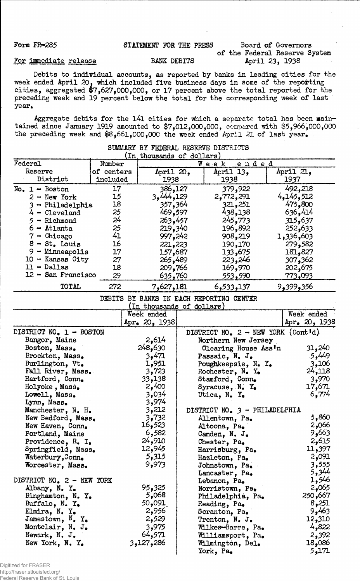# Form FR-285 STATEMENT FOR THE PRESS Board of Governors

of the Federal Reserve System<br>April 23, 1938

## For immediate release BANK DEBITS

Debits to individual accounts, as reported by banks in leading cities for the •week ended April 20. which included five business days in some of the reporting cities, aggregated 47,627,000,000, or 17 percent above the total reported for the preceding week and 19 percent below the total for the corresponding week of last year.

Aggregate debits for the l4l cities for which a separate total has been maintained since January 1919 amounted to \$7,012,000,000, compared with \$5,966,000,000 the preceding week and \$8,661,000,000 the week ended April 21 of last year.

| (In thousands of dollars)                |            |                           |  |                                             |               |  |  |  |
|------------------------------------------|------------|---------------------------|--|---------------------------------------------|---------------|--|--|--|
| Federal                                  | Number     |                           |  | ended<br>$W$ e e $k$                        |               |  |  |  |
| Reserve                                  | of centers | April 20,                 |  | April 13,                                   | April 21,     |  |  |  |
| District                                 | included   | 1938                      |  | 1938                                        | 1937          |  |  |  |
| No. $1 -$ Boston                         | 17         | 386,127                   |  | 379,922                                     | 492,218       |  |  |  |
| $2 - New York$                           | 15         | 3,444,129                 |  | 2,772,291                                   | 4,145,512     |  |  |  |
| 3 - Philadelphia                         | 18         | 357,364                   |  | 321,251                                     | 475,800       |  |  |  |
| $4$ - $C_{\text{Leveland}}$              | 25         | 469,597                   |  | 438,138                                     | 636,414       |  |  |  |
| $5 -$ Richmond                           | 24         | 263,457                   |  | 245,773                                     | 315,637       |  |  |  |
| $6 -$ Atlanta                            | 25         |                           |  |                                             |               |  |  |  |
|                                          | 41         | 219,340                   |  | 196,892                                     | 252,633       |  |  |  |
| $7$ - Chicago                            |            | 997,242                   |  | 908,219                                     | 1,336,603     |  |  |  |
| $8 - St.$ Louis                          | 16         | 221,223                   |  | 190,170                                     | 279,582       |  |  |  |
| $9 -$ Minneapolis                        | 17         | 157,687                   |  | 133,675                                     | 181,827       |  |  |  |
| $10$ - Kansas City                       | 27         | 265,489                   |  | 223,246                                     | 307,362       |  |  |  |
| $11 - Dallas$                            | 18         | 209,766                   |  | 169,970                                     | 202,675       |  |  |  |
| 12 - San Francisco                       | 29         | 635,760                   |  | 553,590                                     | 773,093       |  |  |  |
| TOTAL                                    | 272        | 7,627,181                 |  | 6,533,137                                   | 356و399و9     |  |  |  |
| DEBITS BY BANKS IN EACH REPORTING CENTER |            |                           |  |                                             |               |  |  |  |
|                                          |            | (In thousands of dollars) |  |                                             |               |  |  |  |
|                                          |            | Week ended                |  |                                             | Week ended    |  |  |  |
|                                          |            | Apr. $20, 1938$           |  |                                             | Apr. 20, 1938 |  |  |  |
| DISTRICT NO. 1 - BOSTON                  |            |                           |  | DISTRICT NO. $2 - \text{NEW}$ YORK (Cont'd) |               |  |  |  |
| Bangor, Maine                            |            | 2,614                     |  | Northern New Jersey                         |               |  |  |  |
| Boston, Mass.                            |            | 248,630                   |  | Clearing House Ass'n                        | 31,240        |  |  |  |
| Brockton, Mass.                          |            | 3,471                     |  | Passaic, N. J.                              | 5,449         |  |  |  |
| Burlington, Vt.                          |            | 1,951                     |  | Poughkeepsie, N. Y.                         | 3,106         |  |  |  |
| Fall River, Mass.                        |            | 3,723                     |  | Rochester, N. Y.                            | 24,118        |  |  |  |
| Hartford, Conn.                          |            | 33,138                    |  | Stamford, Conn.                             | 3,970         |  |  |  |
| Holyoke, Mass.                           |            | 2,400                     |  | Syracuse, N. Y.                             | 17,671        |  |  |  |
| Lowell, Mass.                            |            | 3,034                     |  | Utica, N. Y.                                | 6,774         |  |  |  |
| Lynn, Mass.                              |            | 3,974                     |  |                                             |               |  |  |  |
| Manchester, N. H.                        |            | 3,212                     |  | DISTRICT NO. 3 - PHILADELPHIA               |               |  |  |  |
| New Bedford, Mass.                       |            | 3,732                     |  | Allentown, Pa.                              | 5,860         |  |  |  |
| New Haven, Conn.                         |            | 16,523                    |  | Altoona, Pa.                                | 2,066         |  |  |  |
| Portland, Maine                          |            | 6,582                     |  |                                             | 9,663         |  |  |  |
| Providence, R. I.                        |            | 24,910                    |  | Camden, N. J.                               | 2,615         |  |  |  |
|                                          |            | 12,945                    |  | Chester, Pa.                                | 11,397        |  |  |  |
| Springfield, Mass.                       |            | 5,315                     |  | Harrisburg, Pa.                             | 2,091         |  |  |  |
| Waterbury, Conn.                         |            | 9,973                     |  | Hazleton, Pa.                               | 3,555         |  |  |  |
| Worcester, Mass.                         |            |                           |  | Johnstown, Pa.                              |               |  |  |  |
|                                          |            |                           |  | Lancaster, Pa.                              | 5,344         |  |  |  |
| DISTRICT NO. 2 - NEW YORK                |            |                           |  | Lebanon, Pa.                                | 1,546         |  |  |  |
| Albany, N. Y.                            |            | 95,325                    |  | Norristown, Pa.                             | 2,065         |  |  |  |
| Binghamton, N. Y.                        |            | 5,068                     |  | Philadelphia, Pa.                           | 250,667       |  |  |  |
| Buffalo, N. $Y_{\bullet}$                |            | 50,091                    |  | Reading, Pa.                                | 8,251         |  |  |  |
| Elmira, N. Y.                            |            | 2,956                     |  | Scranton, Pa.                               | 9,463         |  |  |  |
| Jamestown, $N_{\bullet}$ Y.              |            | 2,529                     |  | Trenton, N. J.                              | 12,310        |  |  |  |
| Montclair, N. J.                         |            | 3,975                     |  | Wilkes-Barre, Pa.                           | 4,822         |  |  |  |
| Newark, N. J.                            |            | 64,571                    |  | Williamsport, Pa.                           | 2,392         |  |  |  |
| New York, N. Y.                          |            | 3,127,286                 |  | Wilmington, Del.                            | 18,086        |  |  |  |
|                                          |            |                           |  | York, Pa.                                   | 5,171         |  |  |  |

## SUMMARY BY FEDERAL RESERVE DISTRICTS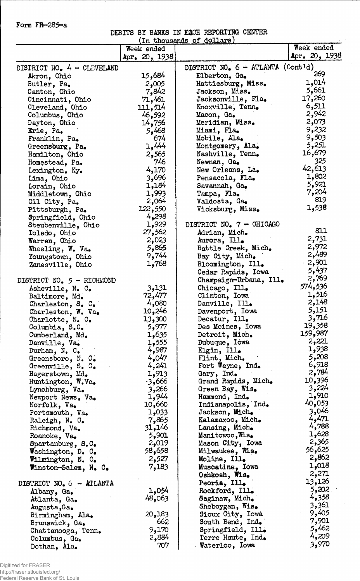Form FR-285-a

Ξ.

DEBITS BY BANKS IN EACH REPORTING CENTER

|                                     |               | In thousands of dollars)                             |                               |
|-------------------------------------|---------------|------------------------------------------------------|-------------------------------|
|                                     | Week ended    |                                                      | Week ended<br>Apr. $20, 1938$ |
|                                     | Apr. 20, 1938 |                                                      |                               |
| DISTRICT NO. 4 - CLEVELAND          | 15,684        | DISTRICT NO. $6 - ATLANTA$ (Cont'd)<br>Elberton, Ga. | 269                           |
| Akron, Ohio                         | 2,005         | Hattiesburg, Miss.                                   | 1,014                         |
| Butler, Pa.                         | 7,842         | Jackson, Miss.                                       | 5,661                         |
| Canton, Ohio                        | 71,461        | Jacksonville, Fla.                                   | 17,260                        |
| Cincinnati, Ohio<br>Cleveland, Ohio | 111,514       | Knoxville, Tenn.                                     | 6,511                         |
|                                     |               | Macon, Ga.                                           | 2,942                         |
| Columbus, Ohio                      | 46,592        | Meridian, Miss.                                      | 2,073                         |
| Dayton, Ohio                        | 14,756        | Miami, Fla.                                          | 9,232                         |
| Erie, Pa.                           | 5,468<br>674  | Mobile, Ala.                                         | 9,503                         |
| Franklin, Pa.                       |               |                                                      | 5,251                         |
| Greensburg, Pa.                     | 1,444         | Montgomery, Ala.                                     | 16,679                        |
| Hamilton, Ohio                      | 2,565         | Nashville, Tenn.                                     | 325                           |
| Homestead, Pa.                      | 746           | Newnan, Ga.                                          | 42,613                        |
| Lexington, Ky.                      | 4,170         | New Orleans, La.                                     | 1,802                         |
| Lima, Ohio                          | 3,696         | Pensacola, Fla.                                      | 5,921                         |
| Lorain, Ohio                        | 1,184         | Savannah, Ga.                                        | 7,204                         |
| Middletown, Ohio                    | 1,993         | Tampa, Fla.                                          | 819                           |
| Oil City, Pa.                       | 2,064         | Valdosta, Ga.                                        |                               |
| Pittsburgh, Pa.                     | 122,550       | Vicksburg, Miss.                                     | 1,538                         |
| Springfield, Ohio                   | 4,298         |                                                      |                               |
| Steubenville, Ohio                  | 1,929         | DISTRICT NO. 7 - CHICAGO                             | 811                           |
| Toledo, Ohio                        | 27,562        | Adrian, Mich.                                        |                               |
| Warren, Ohio                        | 2,023         | Aurora, Ill.                                         | 2,731                         |
| Wheeling, W. Va.                    | 5,865         | Battle Creek, Mich.                                  | 2,972                         |
| Youngstown, Ohio                    | 9,744         | Bay City, Mich.                                      | 2,489                         |
| Zanesville, Ohio                    | 1,768         | Bloomington, Ill.                                    | 2,901                         |
|                                     |               | Cedar Rapids, Iowa                                   | 5,437                         |
| DISTRICT NO. 5 - RICHMOND           |               | Champaign-Urbana, Ill.                               | 2,769                         |
| Asheville, N. C.                    | 3,131         | Chicago, Ill.                                        | 574,536                       |
| Baltimore, Md.                      | 72,477        | Clinton, Iowa                                        | 1,516                         |
| Charleston, $S_{\bullet}$ C.        | 4,080         | Danville, Ill.                                       | 2,148                         |
| Charleston, $W$ . Va.               | 10,246        | Davenport, Iowa                                      | 5,151                         |
| Charlotte, $N_e$ . C.               | 13,300        | Decatur, Ill.                                        | 3,716                         |
| Columbia, S.C.                      | 5,977         | Des Moines, Iowa                                     | 19,358                        |
| Cumberland, Md.                     | 1,635         | Detroit, Mich.                                       | 159,987                       |
| Danville, Va.                       | 1,555         | Dubuque, Iowa                                        | 2,221                         |
| Durham, N, C.                       | 4,987         | Elgin, Ill.                                          | 1,938                         |
| Greensboro, N. C.                   | 4,047         | Flint, Mich.                                         | 5,208                         |
| Greenville, S. C.                   | 4,241         | Fort Wayne, Ind.                                     | 6,918                         |
| Hagerstown, Md.                     | 1,913         | Gary, Ind.                                           | 2,784                         |
| Huntington, W.Va.                   | $-3,666$      | Grand Rapids, Mich.                                  | 10,396                        |
| Lynchburg, Va.                      | 3,266         | Green Bay, Wis.                                      | 3,224                         |
| Newport News, Va.                   | 1,944         | Hammond, Ind.                                        | 1,910                         |
| Norfolk, Va.                        | 10,660        | Indianapolis, Ind.                                   | 40,053                        |
| Portsmouth, Va.                     | 1,033         | Jackson, Mich.                                       | 3,046                         |
| Raleigh, N. C.                      | 7,865         | Kalamazoo, Mich.                                     | 4,471                         |
| Richmond, Va.                       | 31,146        | Lansing, Mich.                                       | 4,788                         |
| Roanoke, Va.                        | 5,901         | Manitowoc, Wis.                                      | 1,628                         |
| Spartanburg, S.C.                   | 2,019         | Mason City, Iowa                                     | 2,365                         |
| Washington, D. C.                   | 58,658        | Milwaukee, Wis.                                      | 56,625                        |
| Wilmington, N. C.                   | 2,527         | Moline, Ill.                                         | 2,862                         |
| Winston-Salem, N. C.                | 7,183         | Muscatine, Iowa                                      | 1,018                         |
|                                     |               | Oshkosh, Wis.                                        | 2,271                         |
| DISTRICT NO. 6 - ATLANTA            |               | Peoria, Ill.                                         | 13,126                        |
| Albany, Ga.                         | 1,054         | Rockford, Ill.                                       | 5,202                         |
| Atlanta, Ga.                        | 48,063        | Saginaw, Mich.                                       | 4,358                         |
| Augusta, Ga.                        |               | Sheboygan, $Wis_{\bullet}$                           | 3,361                         |
| Birmingham, Ala.                    | 20,183        | Sioux City, Iowa                                     | 9,405                         |
| Brunswick, Ga.                      | 662           | South Bend, Ind.                                     | 7,901                         |
| Chattanooga, Tenn.                  | 9,170         | Springfield, Ill.                                    | 5,462                         |
| Columbus, Ga.                       | 2,884         | Terre Haute, Ind.                                    | 4,209                         |
| Dothan, Ala.                        | 707           | Waterloo, Iowa                                       | 3,970                         |
|                                     |               |                                                      |                               |